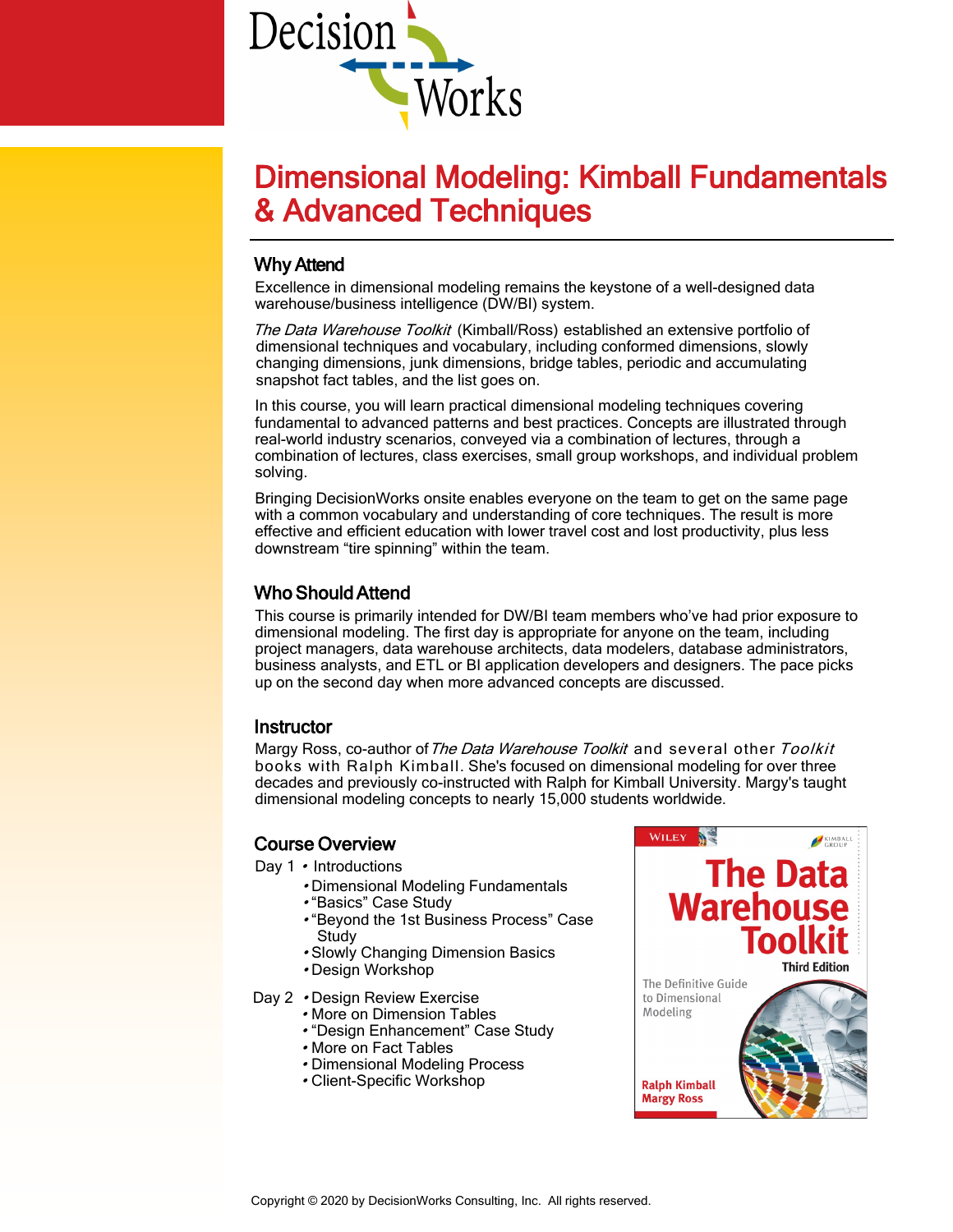

# Dimensional Modeling: Kimball Fundamentals & Advanced Techniques

# Why Attend

Excellence in dimensional modeling remains the keystone of a well-designed data warehouse/business intelligence (DW/BI) system.

The Data Warehouse Toolkit (Kimball/Ross) established an extensive portfolio of dimensional techniques and vocabulary, including conformed dimensions, slowly changing dimensions, junk dimensions, bridge tables, periodic and accumulating snapshot fact tables, and the list goes on.

In this course, you will learn practical dimensional modeling techniques covering fundamental to advanced patterns and best practices. Concepts are illustrated through real-world industry scenarios, conveyed via a combination of lectures, through a combination of lectures, class exercises, small group workshops, and individual problem solving.

Bringing DecisionWorks onsite enables everyone on the team to get on the same page with a common vocabulary and understanding of core techniques. The result is more effective and efficient education with lower travel cost and lost productivity, plus less downstream "tire spinning" within the team.

# Who Should Attend

This course is primarily intended for DW/BI team members who've had prior exposure to dimensional modeling. The first day is appropriate for anyone on the team, including project managers, data warehouse architects, data modelers, database administrators, business analysts, and ETL or BI application developers and designers. The pace picks up on the second day when more advanced concepts are discussed.

# **Instructor**

Margy Ross, co-author of The Data Warehouse Toolkit and several other Toolkit books with Ralph Kimball. She's focused on dimensional modeling for over three decades and previously co-instructed with Ralph for Kimball University. Margy's taught dimensional modeling concepts to nearly 15,000 students worldwide.

# Course Overview

- Day 1 Introductions
	- Dimensional Modeling Fundamentals
	- "Basics" Case Study
	- "Beyond the 1st Business Process" Case Study
	- Slowly Changing Dimension Basics
	- Design Workshop
- Day 2 Design Review Exercise
	- More on Dimension Tables
	- "Design Enhancement" Case Study
	- More on Fact Tables
	- Dimensional Modeling Process
	- Client-Specific Workshop